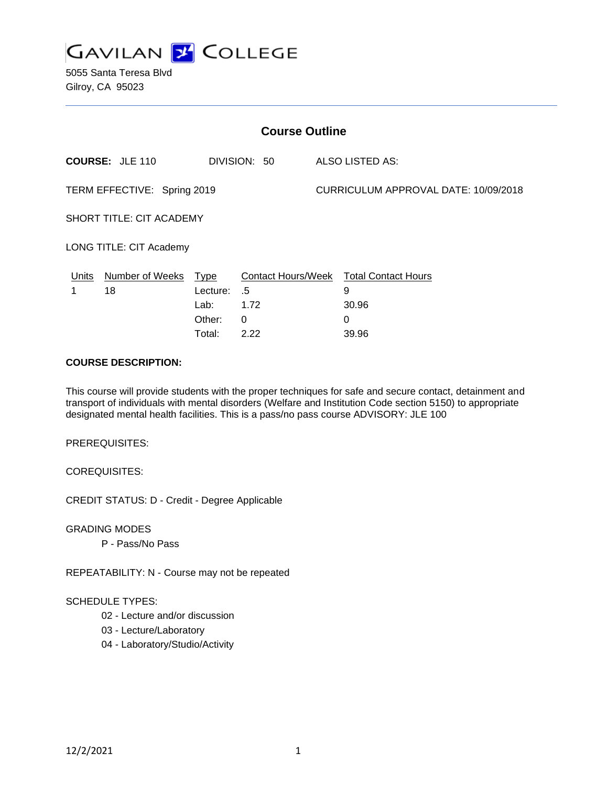

5055 Santa Teresa Blvd Gilroy, CA 95023

| <b>Course Outline</b>           |                                        |                                      |                                |  |                                                                    |  |
|---------------------------------|----------------------------------------|--------------------------------------|--------------------------------|--|--------------------------------------------------------------------|--|
|                                 | <b>COURSE: JLE 110</b><br>DIVISION: 50 |                                      | ALSO LISTED AS:                |  |                                                                    |  |
| TERM EFFECTIVE: Spring 2019     |                                        |                                      |                                |  | CURRICULUM APPROVAL DATE: 10/09/2018                               |  |
| <b>SHORT TITLE: CIT ACADEMY</b> |                                        |                                      |                                |  |                                                                    |  |
| LONG TITLE: CIT Academy         |                                        |                                      |                                |  |                                                                    |  |
| Units                           | Number of Weeks Type<br>18             | Lecture:<br>Lab:<br>Other:<br>Total: | .5<br>1.72<br>$\Omega$<br>2.22 |  | Contact Hours/Week Total Contact Hours<br>9<br>30.96<br>0<br>39.96 |  |

### **COURSE DESCRIPTION:**

This course will provide students with the proper techniques for safe and secure contact, detainment and transport of individuals with mental disorders (Welfare and Institution Code section 5150) to appropriate designated mental health facilities. This is a pass/no pass course ADVISORY: JLE 100

PREREQUISITES:

COREQUISITES:

CREDIT STATUS: D - Credit - Degree Applicable

GRADING MODES

P - Pass/No Pass

REPEATABILITY: N - Course may not be repeated

#### SCHEDULE TYPES:

- 02 Lecture and/or discussion
- 03 Lecture/Laboratory
- 04 Laboratory/Studio/Activity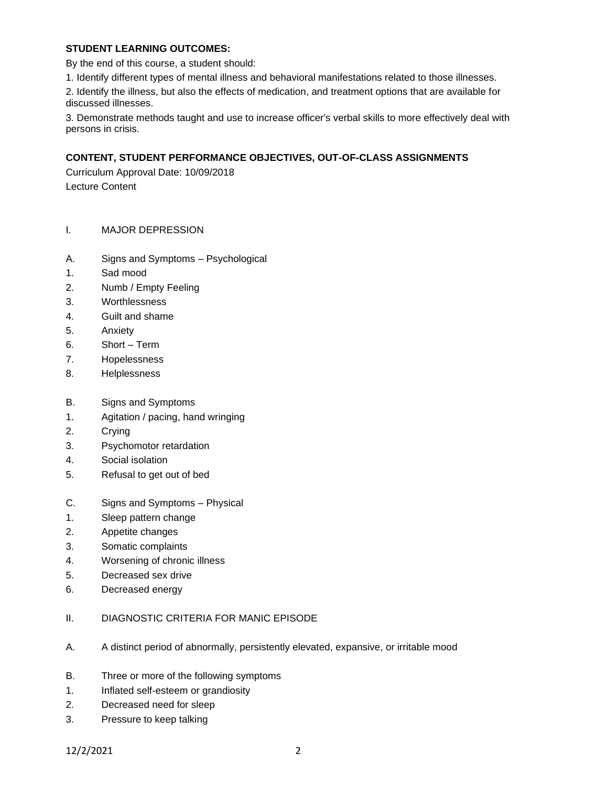## **STUDENT LEARNING OUTCOMES:**

By the end of this course, a student should:

1. Identify different types of mental illness and behavioral manifestations related to those illnesses.

2. Identify the illness, but also the effects of medication, and treatment options that are available for discussed illnesses.

3. Demonstrate methods taught and use to increase officer's verbal skills to more effectively deal with persons in crisis.

## **CONTENT, STUDENT PERFORMANCE OBJECTIVES, OUT-OF-CLASS ASSIGNMENTS**

Curriculum Approval Date: 10/09/2018 Lecture Content

- I. MAJOR DEPRESSION
- A. Signs and Symptoms Psychological
- 1. Sad mood
- 2. Numb / Empty Feeling
- 3. Worthlessness
- 4. Guilt and shame
- 5. Anxiety
- 6. Short Term
- 7. Hopelessness
- 8. Helplessness
- B. Signs and Symptoms
- 1. Agitation / pacing, hand wringing
- 2. Crying
- 3. Psychomotor retardation
- 4. Social isolation
- 5. Refusal to get out of bed
- C. Signs and Symptoms Physical
- 1. Sleep pattern change
- 2. Appetite changes
- 3. Somatic complaints
- 4. Worsening of chronic illness
- 5. Decreased sex drive
- 6. Decreased energy
- II. DIAGNOSTIC CRITERIA FOR MANIC EPISODE
- A. A distinct period of abnormally, persistently elevated, expansive, or irritable mood
- B. Three or more of the following symptoms
- 1. Inflated self-esteem or grandiosity
- 2. Decreased need for sleep
- 3. Pressure to keep talking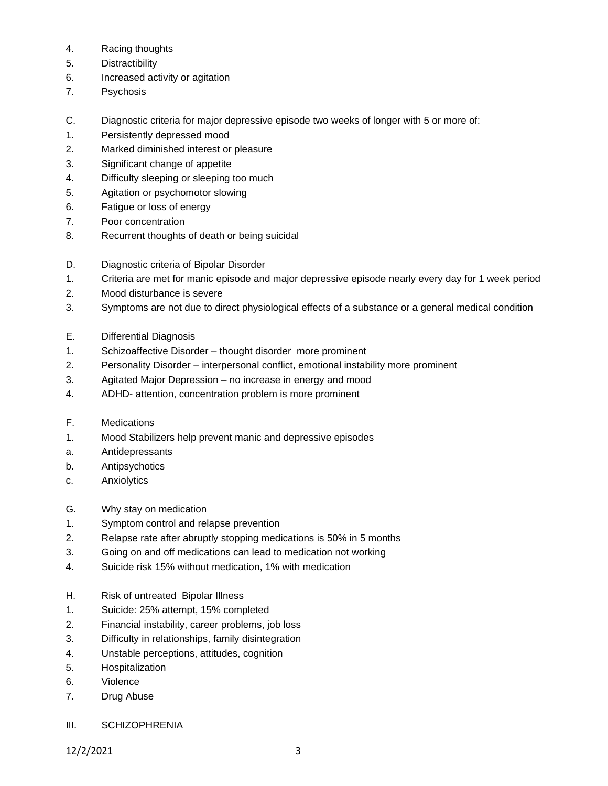- 4. Racing thoughts
- 5. Distractibility
- 6. Increased activity or agitation
- 7. Psychosis
- C. Diagnostic criteria for major depressive episode two weeks of longer with 5 or more of:
- 1. Persistently depressed mood
- 2. Marked diminished interest or pleasure
- 3. Significant change of appetite
- 4. Difficulty sleeping or sleeping too much
- 5. Agitation or psychomotor slowing
- 6. Fatigue or loss of energy
- 7. Poor concentration
- 8. Recurrent thoughts of death or being suicidal
- D. Diagnostic criteria of Bipolar Disorder
- 1. Criteria are met for manic episode and major depressive episode nearly every day for 1 week period
- 2. Mood disturbance is severe
- 3. Symptoms are not due to direct physiological effects of a substance or a general medical condition
- E. Differential Diagnosis
- 1. Schizoaffective Disorder thought disorder more prominent
- 2. Personality Disorder interpersonal conflict, emotional instability more prominent
- 3. Agitated Major Depression no increase in energy and mood
- 4. ADHD- attention, concentration problem is more prominent
- F. Medications
- 1. Mood Stabilizers help prevent manic and depressive episodes
- a. Antidepressants
- b. Antipsychotics
- c. Anxiolytics
- G. Why stay on medication
- 1. Symptom control and relapse prevention
- 2. Relapse rate after abruptly stopping medications is 50% in 5 months
- 3. Going on and off medications can lead to medication not working
- 4. Suicide risk 15% without medication, 1% with medication
- H. Risk of untreated Bipolar Illness
- 1. Suicide: 25% attempt, 15% completed
- 2. Financial instability, career problems, job loss
- 3. Difficulty in relationships, family disintegration
- 4. Unstable perceptions, attitudes, cognition
- 5. Hospitalization
- 6. Violence
- 7. Drug Abuse
- III. SCHIZOPHRENIA

12/2/2021 3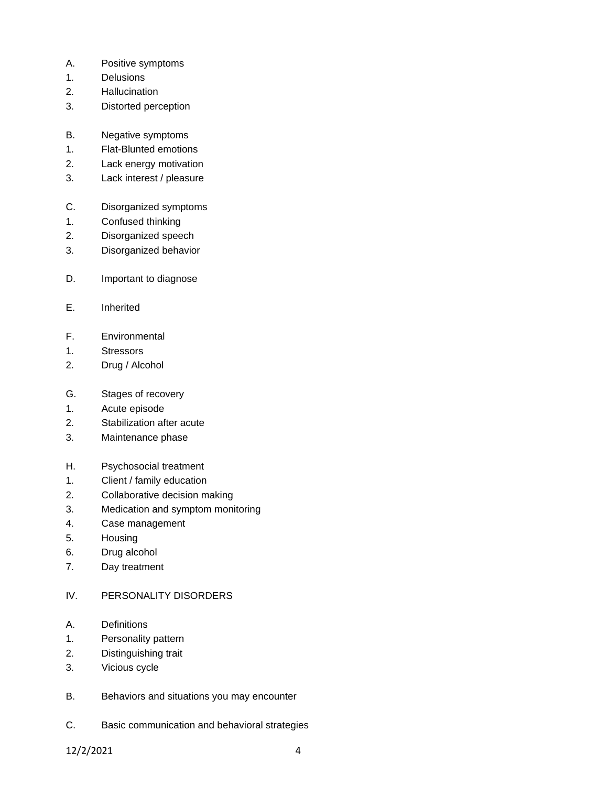- A. Positive symptoms
- 1. Delusions
- 2. Hallucination
- 3. Distorted perception
- B. Negative symptoms
- 1. Flat-Blunted emotions
- 2. Lack energy motivation
- 3. Lack interest / pleasure
- C. Disorganized symptoms
- 1. Confused thinking
- 2. Disorganized speech
- 3. Disorganized behavior
- D. Important to diagnose
- E. Inherited
- F. Environmental
- 1. Stressors
- 2. Drug / Alcohol
- G. Stages of recovery
- 1. Acute episode
- 2. Stabilization after acute
- 3. Maintenance phase
- H. Psychosocial treatment
- 1. Client / family education
- 2. Collaborative decision making
- 3. Medication and symptom monitoring
- 4. Case management
- 5. Housing
- 6. Drug alcohol
- 7. Day treatment
- IV. PERSONALITY DISORDERS
- A. Definitions
- 1. Personality pattern
- 2. Distinguishing trait
- 3. Vicious cycle
- B. Behaviors and situations you may encounter
- C. Basic communication and behavioral strategies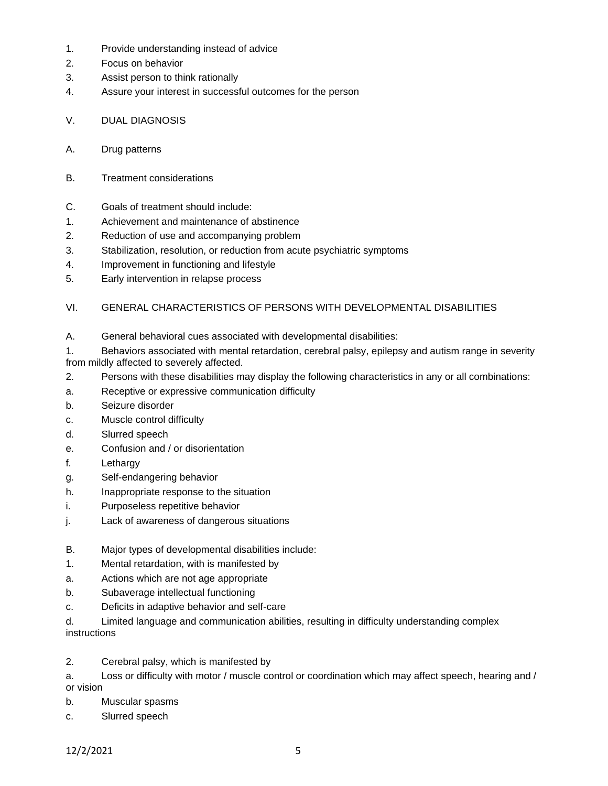- 1. Provide understanding instead of advice
- 2. Focus on behavior
- 3. Assist person to think rationally
- 4. Assure your interest in successful outcomes for the person
- V. DUAL DIAGNOSIS
- A. Drug patterns
- B. Treatment considerations
- C. Goals of treatment should include:
- 1. Achievement and maintenance of abstinence
- 2. Reduction of use and accompanying problem
- 3. Stabilization, resolution, or reduction from acute psychiatric symptoms
- 4. Improvement in functioning and lifestyle
- 5. Early intervention in relapse process

## VI. GENERAL CHARACTERISTICS OF PERSONS WITH DEVELOPMENTAL DISABILITIES

A. General behavioral cues associated with developmental disabilities:

1. Behaviors associated with mental retardation, cerebral palsy, epilepsy and autism range in severity from mildly affected to severely affected.

- 2. Persons with these disabilities may display the following characteristics in any or all combinations:
- a. Receptive or expressive communication difficulty
- b. Seizure disorder
- c. Muscle control difficulty
- d. Slurred speech
- e. Confusion and / or disorientation
- f. Lethargy
- g. Self-endangering behavior
- h. Inappropriate response to the situation
- i. Purposeless repetitive behavior
- j. Lack of awareness of dangerous situations
- B. Major types of developmental disabilities include:
- 1. Mental retardation, with is manifested by
- a. Actions which are not age appropriate
- b. Subaverage intellectual functioning
- c. Deficits in adaptive behavior and self-care
- d. Limited language and communication abilities, resulting in difficulty understanding complex instructions
- 2. Cerebral palsy, which is manifested by
- a. Loss or difficulty with motor / muscle control or coordination which may affect speech, hearing and / or vision
- b. Muscular spasms
- c. Slurred speech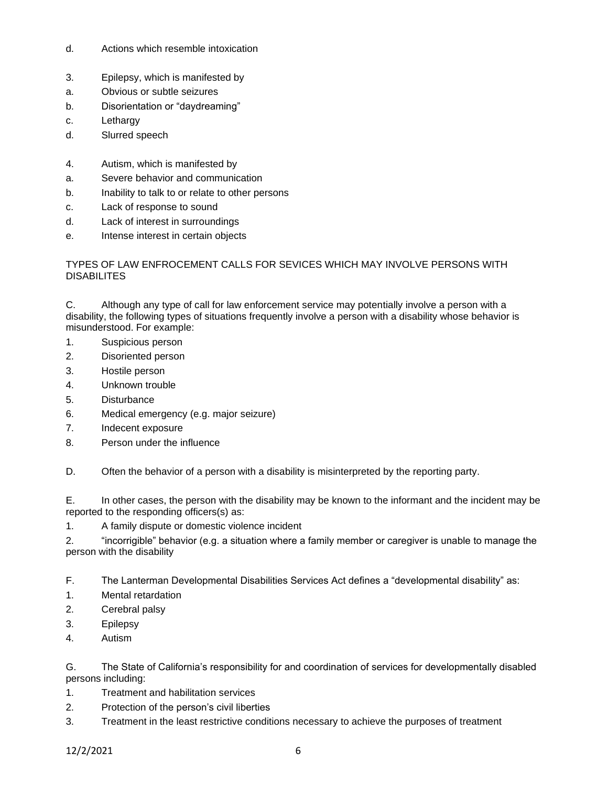- d. Actions which resemble intoxication
- 3. Epilepsy, which is manifested by
- a. Obvious or subtle seizures
- b. Disorientation or "daydreaming"
- c. Lethargy
- d. Slurred speech
- 4. Autism, which is manifested by
- a. Severe behavior and communication
- b. Inability to talk to or relate to other persons
- c. Lack of response to sound
- d. Lack of interest in surroundings
- e. Intense interest in certain objects

## TYPES OF LAW ENFROCEMENT CALLS FOR SEVICES WHICH MAY INVOLVE PERSONS WITH DISABILITES

C. Although any type of call for law enforcement service may potentially involve a person with a disability, the following types of situations frequently involve a person with a disability whose behavior is misunderstood. For example:

- 1. Suspicious person
- 2. Disoriented person
- 3. Hostile person
- 4. Unknown trouble
- 5. Disturbance
- 6. Medical emergency (e.g. major seizure)
- 7. Indecent exposure
- 8. Person under the influence

D. Often the behavior of a person with a disability is misinterpreted by the reporting party.

E. In other cases, the person with the disability may be known to the informant and the incident may be reported to the responding officers(s) as:

1. A family dispute or domestic violence incident

2. "incorrigible" behavior (e.g. a situation where a family member or caregiver is unable to manage the person with the disability

F. The Lanterman Developmental Disabilities Services Act defines a "developmental disability" as:

- 1. Mental retardation
- 2. Cerebral palsy
- 3. Epilepsy
- 4. Autism

G. The State of California's responsibility for and coordination of services for developmentally disabled persons including:

- 1. Treatment and habilitation services
- 2. Protection of the person's civil liberties
- 3. Treatment in the least restrictive conditions necessary to achieve the purposes of treatment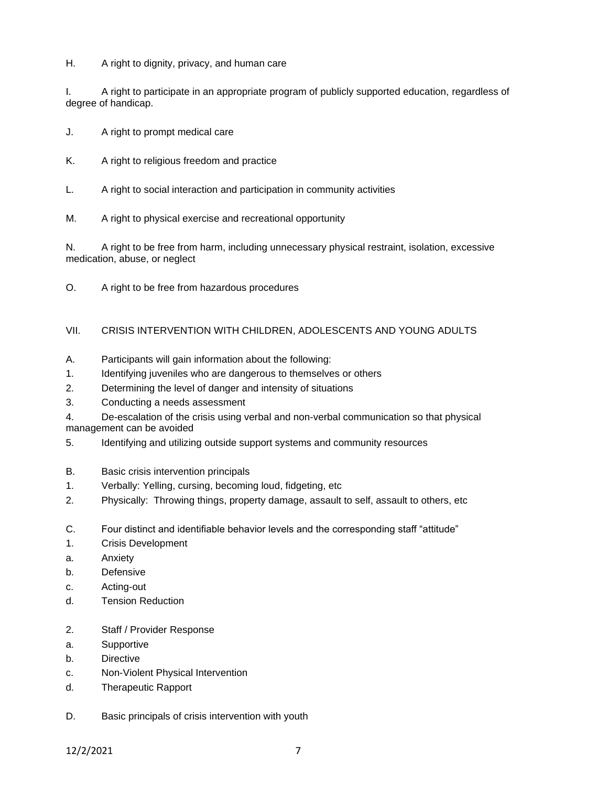H. A right to dignity, privacy, and human care

I. A right to participate in an appropriate program of publicly supported education, regardless of degree of handicap.

- J. A right to prompt medical care
- K. A right to religious freedom and practice
- L. A right to social interaction and participation in community activities
- M. A right to physical exercise and recreational opportunity

N. A right to be free from harm, including unnecessary physical restraint, isolation, excessive medication, abuse, or neglect

O. A right to be free from hazardous procedures

## VII. CRISIS INTERVENTION WITH CHILDREN, ADOLESCENTS AND YOUNG ADULTS

- A. Participants will gain information about the following:
- 1. Identifying juveniles who are dangerous to themselves or others
- 2. Determining the level of danger and intensity of situations
- 3. Conducting a needs assessment

4. De-escalation of the crisis using verbal and non-verbal communication so that physical management can be avoided

- 5. Identifying and utilizing outside support systems and community resources
- B. Basic crisis intervention principals
- 1. Verbally: Yelling, cursing, becoming loud, fidgeting, etc
- 2. Physically: Throwing things, property damage, assault to self, assault to others, etc
- C. Four distinct and identifiable behavior levels and the corresponding staff "attitude"
- 1. Crisis Development
- a. Anxiety
- b. Defensive
- c. Acting-out
- d. Tension Reduction
- 2. Staff / Provider Response
- a. Supportive
- b. Directive
- c. Non-Violent Physical Intervention
- d. Therapeutic Rapport
- D. Basic principals of crisis intervention with youth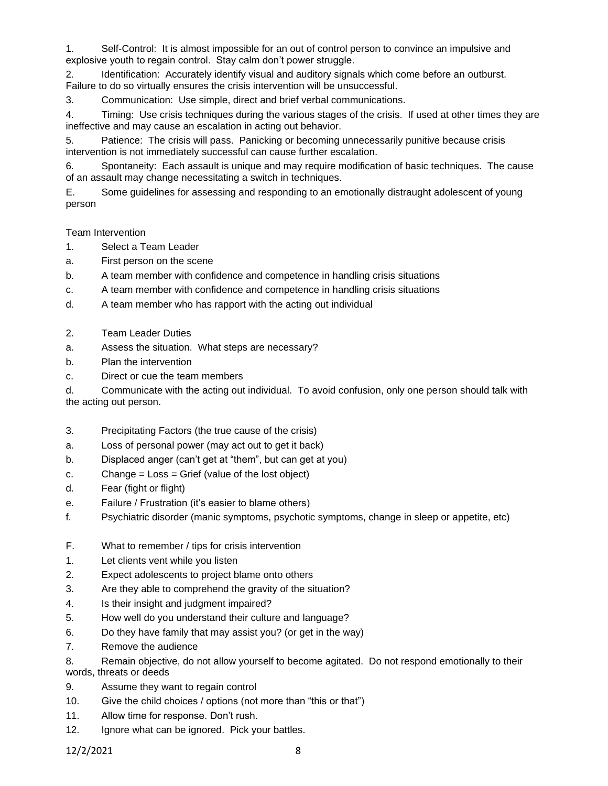1. Self-Control: It is almost impossible for an out of control person to convince an impulsive and explosive youth to regain control. Stay calm don't power struggle.

2. Identification: Accurately identify visual and auditory signals which come before an outburst. Failure to do so virtually ensures the crisis intervention will be unsuccessful.

3. Communication: Use simple, direct and brief verbal communications.

4. Timing: Use crisis techniques during the various stages of the crisis. If used at other times they are ineffective and may cause an escalation in acting out behavior.

5. Patience: The crisis will pass. Panicking or becoming unnecessarily punitive because crisis intervention is not immediately successful can cause further escalation.

6. Spontaneity: Each assault is unique and may require modification of basic techniques. The cause of an assault may change necessitating a switch in techniques.

E. Some guidelines for assessing and responding to an emotionally distraught adolescent of young person

### Team Intervention

- 1. Select a Team Leader
- a. First person on the scene
- b. A team member with confidence and competence in handling crisis situations
- c. A team member with confidence and competence in handling crisis situations
- d. A team member who has rapport with the acting out individual
- 2. Team Leader Duties
- a. Assess the situation. What steps are necessary?
- b. Plan the intervention
- c. Direct or cue the team members

d. Communicate with the acting out individual. To avoid confusion, only one person should talk with the acting out person.

- 3. Precipitating Factors (the true cause of the crisis)
- a. Loss of personal power (may act out to get it back)
- b. Displaced anger (can't get at "them", but can get at you)
- c. Change  $=$  Loss  $=$  Grief (value of the lost object)
- d. Fear (fight or flight)
- e. Failure / Frustration (it's easier to blame others)
- f. Psychiatric disorder (manic symptoms, psychotic symptoms, change in sleep or appetite, etc)
- F. What to remember / tips for crisis intervention
- 1. Let clients vent while you listen
- 2. Expect adolescents to project blame onto others
- 3. Are they able to comprehend the gravity of the situation?
- 4. Is their insight and judgment impaired?
- 5. How well do you understand their culture and language?
- 6. Do they have family that may assist you? (or get in the way)
- 7. Remove the audience
- 8. Remain objective, do not allow yourself to become agitated. Do not respond emotionally to their words, threats or deeds
- 9. Assume they want to regain control
- 10. Give the child choices / options (not more than "this or that")
- 11. Allow time for response. Don't rush.
- 12. Ignore what can be ignored. Pick your battles.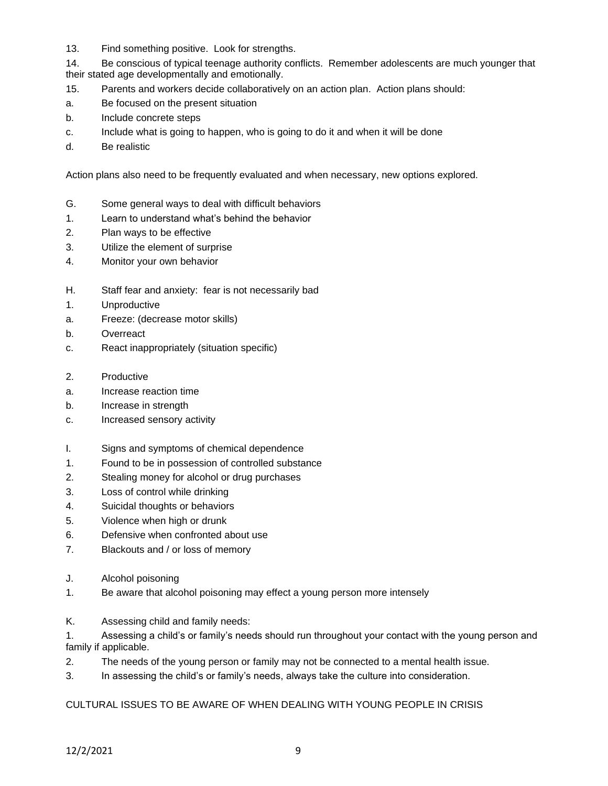13. Find something positive. Look for strengths.

14. Be conscious of typical teenage authority conflicts. Remember adolescents are much younger that their stated age developmentally and emotionally.

- 15. Parents and workers decide collaboratively on an action plan. Action plans should:
- a. Be focused on the present situation
- b. Include concrete steps
- c. Include what is going to happen, who is going to do it and when it will be done
- d. Be realistic

Action plans also need to be frequently evaluated and when necessary, new options explored.

- G. Some general ways to deal with difficult behaviors
- 1. Learn to understand what's behind the behavior
- 2. Plan ways to be effective
- 3. Utilize the element of surprise
- 4. Monitor your own behavior
- H. Staff fear and anxiety: fear is not necessarily bad
- 1. Unproductive
- a. Freeze: (decrease motor skills)
- b. Overreact
- c. React inappropriately (situation specific)
- 2. Productive
- a. Increase reaction time
- b. Increase in strength
- c. Increased sensory activity
- I. Signs and symptoms of chemical dependence
- 1. Found to be in possession of controlled substance
- 2. Stealing money for alcohol or drug purchases
- 3. Loss of control while drinking
- 4. Suicidal thoughts or behaviors
- 5. Violence when high or drunk
- 6. Defensive when confronted about use
- 7. Blackouts and / or loss of memory
- J. Alcohol poisoning
- 1. Be aware that alcohol poisoning may effect a young person more intensely
- K. Assessing child and family needs:

1. Assessing a child's or family's needs should run throughout your contact with the young person and family if applicable.

- 2. The needs of the young person or family may not be connected to a mental health issue.
- 3. In assessing the child's or family's needs, always take the culture into consideration.

### CULTURAL ISSUES TO BE AWARE OF WHEN DEALING WITH YOUNG PEOPLE IN CRISIS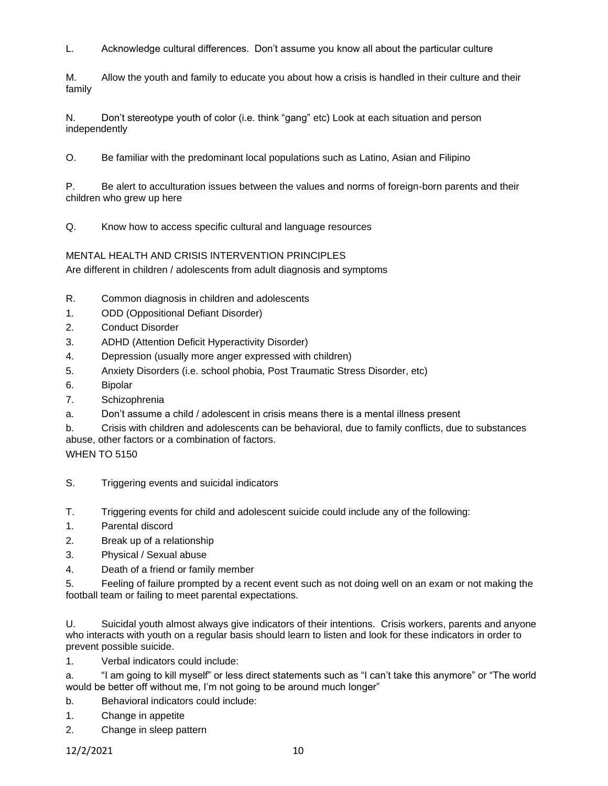L. Acknowledge cultural differences. Don't assume you know all about the particular culture

M. Allow the youth and family to educate you about how a crisis is handled in their culture and their family

N. Don't stereotype youth of color (i.e. think "gang" etc) Look at each situation and person independently

O. Be familiar with the predominant local populations such as Latino, Asian and Filipino

P. Be alert to acculturation issues between the values and norms of foreign-born parents and their children who grew up here

Q. Know how to access specific cultural and language resources

## MENTAL HEALTH AND CRISIS INTERVENTION PRINCIPLES

Are different in children / adolescents from adult diagnosis and symptoms

- R. Common diagnosis in children and adolescents
- 1. ODD (Oppositional Defiant Disorder)
- 2. Conduct Disorder
- 3. ADHD (Attention Deficit Hyperactivity Disorder)
- 4. Depression (usually more anger expressed with children)
- 5. Anxiety Disorders (i.e. school phobia, Post Traumatic Stress Disorder, etc)
- 6. Bipolar
- 7. Schizophrenia
- a. Don't assume a child / adolescent in crisis means there is a mental illness present
- b. Crisis with children and adolescents can be behavioral, due to family conflicts, due to substances

abuse, other factors or a combination of factors.

**WHEN TO 5150** 

- S. Triggering events and suicidal indicators
- T. Triggering events for child and adolescent suicide could include any of the following:
- 1. Parental discord
- 2. Break up of a relationship
- 3. Physical / Sexual abuse
- 4. Death of a friend or family member

5. Feeling of failure prompted by a recent event such as not doing well on an exam or not making the football team or failing to meet parental expectations.

U. Suicidal youth almost always give indicators of their intentions. Crisis workers, parents and anyone who interacts with youth on a regular basis should learn to listen and look for these indicators in order to prevent possible suicide.

1. Verbal indicators could include:

a. "I am going to kill myself" or less direct statements such as "I can't take this anymore" or "The world would be better off without me, I'm not going to be around much longer"

b. Behavioral indicators could include:

- 1. Change in appetite
- 2. Change in sleep pattern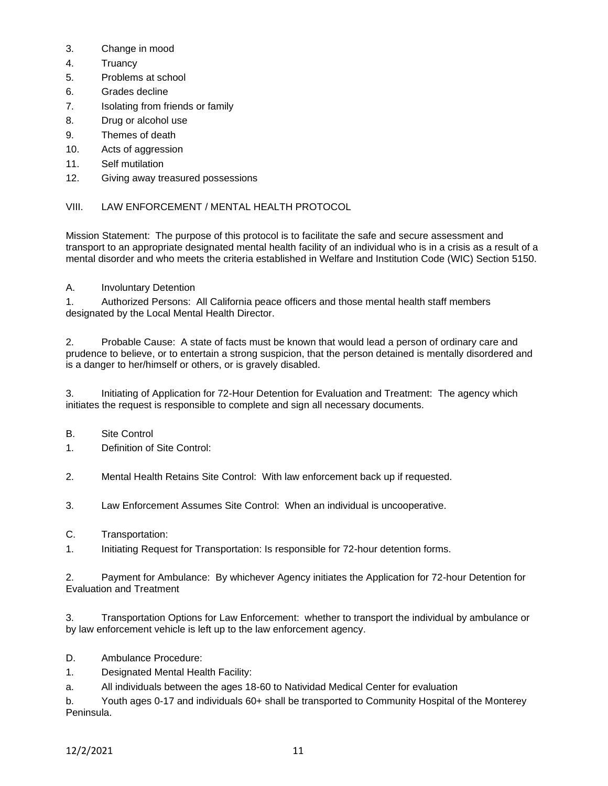- 3. Change in mood
- 4. Truancy
- 5. Problems at school
- 6. Grades decline
- 7. Isolating from friends or family
- 8. Drug or alcohol use
- 9. Themes of death
- 10. Acts of aggression
- 11. Self mutilation
- 12. Giving away treasured possessions

## VIII. LAW ENFORCEMENT / MENTAL HEALTH PROTOCOL

Mission Statement: The purpose of this protocol is to facilitate the safe and secure assessment and transport to an appropriate designated mental health facility of an individual who is in a crisis as a result of a mental disorder and who meets the criteria established in Welfare and Institution Code (WIC) Section 5150.

## A. Involuntary Detention

1. Authorized Persons: All California peace officers and those mental health staff members designated by the Local Mental Health Director.

2. Probable Cause: A state of facts must be known that would lead a person of ordinary care and prudence to believe, or to entertain a strong suspicion, that the person detained is mentally disordered and is a danger to her/himself or others, or is gravely disabled.

3. Initiating of Application for 72-Hour Detention for Evaluation and Treatment: The agency which initiates the request is responsible to complete and sign all necessary documents.

- B. Site Control
- 1. Definition of Site Control:
- 2. Mental Health Retains Site Control: With law enforcement back up if requested.
- 3. Law Enforcement Assumes Site Control: When an individual is uncooperative.
- C. Transportation:
- 1. Initiating Request for Transportation: Is responsible for 72-hour detention forms.

2. Payment for Ambulance: By whichever Agency initiates the Application for 72-hour Detention for Evaluation and Treatment

3. Transportation Options for Law Enforcement: whether to transport the individual by ambulance or by law enforcement vehicle is left up to the law enforcement agency.

- D. Ambulance Procedure:
- 1. Designated Mental Health Facility:

a. All individuals between the ages 18-60 to Natividad Medical Center for evaluation

b. Youth ages 0-17 and individuals 60+ shall be transported to Community Hospital of the Monterey Peninsula.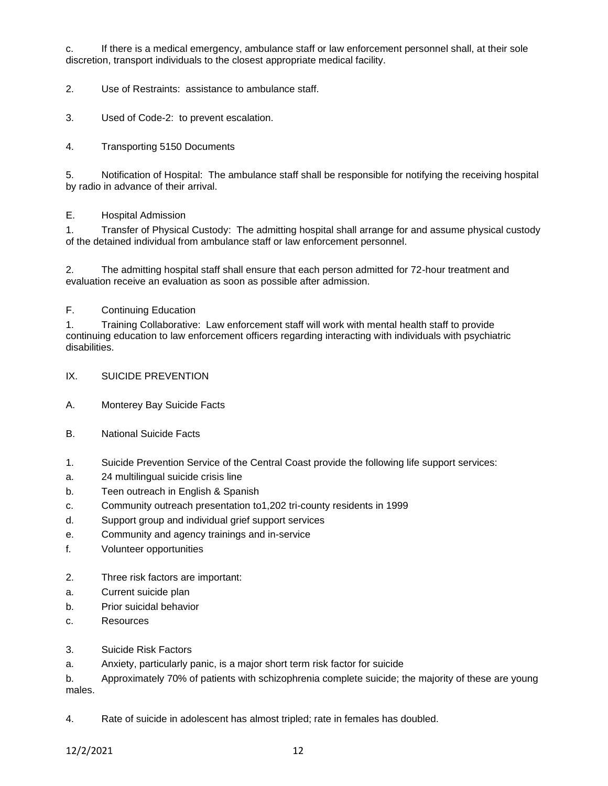c. If there is a medical emergency, ambulance staff or law enforcement personnel shall, at their sole discretion, transport individuals to the closest appropriate medical facility.

2. Use of Restraints: assistance to ambulance staff.

- 3. Used of Code-2: to prevent escalation.
- 4. Transporting 5150 Documents

5. Notification of Hospital: The ambulance staff shall be responsible for notifying the receiving hospital by radio in advance of their arrival.

### E. Hospital Admission

1. Transfer of Physical Custody: The admitting hospital shall arrange for and assume physical custody of the detained individual from ambulance staff or law enforcement personnel.

2. The admitting hospital staff shall ensure that each person admitted for 72-hour treatment and evaluation receive an evaluation as soon as possible after admission.

## F. Continuing Education

1. Training Collaborative: Law enforcement staff will work with mental health staff to provide continuing education to law enforcement officers regarding interacting with individuals with psychiatric disabilities.

- IX. SUICIDE PREVENTION
- A. Monterey Bay Suicide Facts
- B. National Suicide Facts
- 1. Suicide Prevention Service of the Central Coast provide the following life support services:
- a. 24 multilingual suicide crisis line
- b. Teen outreach in English & Spanish
- c. Community outreach presentation to1,202 tri-county residents in 1999
- d. Support group and individual grief support services
- e. Community and agency trainings and in-service
- f. Volunteer opportunities
- 2. Three risk factors are important:
- a. Current suicide plan
- b. Prior suicidal behavior
- c. Resources
- 3. Suicide Risk Factors
- a. Anxiety, particularly panic, is a major short term risk factor for suicide

b. Approximately 70% of patients with schizophrenia complete suicide; the majority of these are young males.

4. Rate of suicide in adolescent has almost tripled; rate in females has doubled.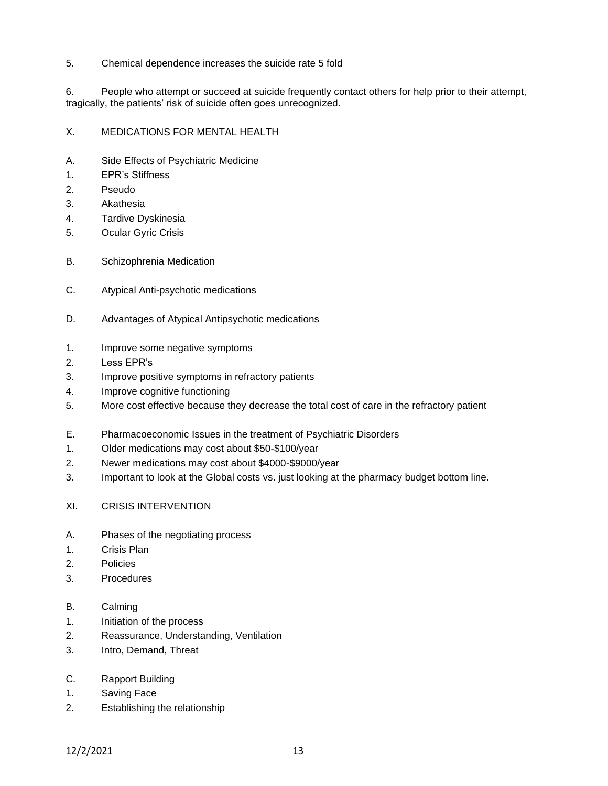5. Chemical dependence increases the suicide rate 5 fold

6. People who attempt or succeed at suicide frequently contact others for help prior to their attempt, tragically, the patients' risk of suicide often goes unrecognized.

## X. MEDICATIONS FOR MENTAL HEALTH

- A. Side Effects of Psychiatric Medicine
- 1. EPR's Stiffness
- 2. Pseudo
- 3. Akathesia
- 4. Tardive Dyskinesia
- 5. Ocular Gyric Crisis
- B. Schizophrenia Medication
- C. Atypical Anti-psychotic medications
- D. Advantages of Atypical Antipsychotic medications
- 1. Improve some negative symptoms
- 2. Less EPR's
- 3. Improve positive symptoms in refractory patients
- 4. Improve cognitive functioning
- 5. More cost effective because they decrease the total cost of care in the refractory patient
- E. Pharmacoeconomic Issues in the treatment of Psychiatric Disorders
- 1. Older medications may cost about \$50-\$100/year
- 2. Newer medications may cost about \$4000-\$9000/year
- 3. Important to look at the Global costs vs. just looking at the pharmacy budget bottom line.
- XI. CRISIS INTERVENTION
- A. Phases of the negotiating process
- 1. Crisis Plan
- 2. Policies
- 3. Procedures
- B. Calming
- 1. Initiation of the process
- 2. Reassurance, Understanding, Ventilation
- 3. Intro, Demand, Threat
- C. Rapport Building
- 1. Saving Face
- 2. Establishing the relationship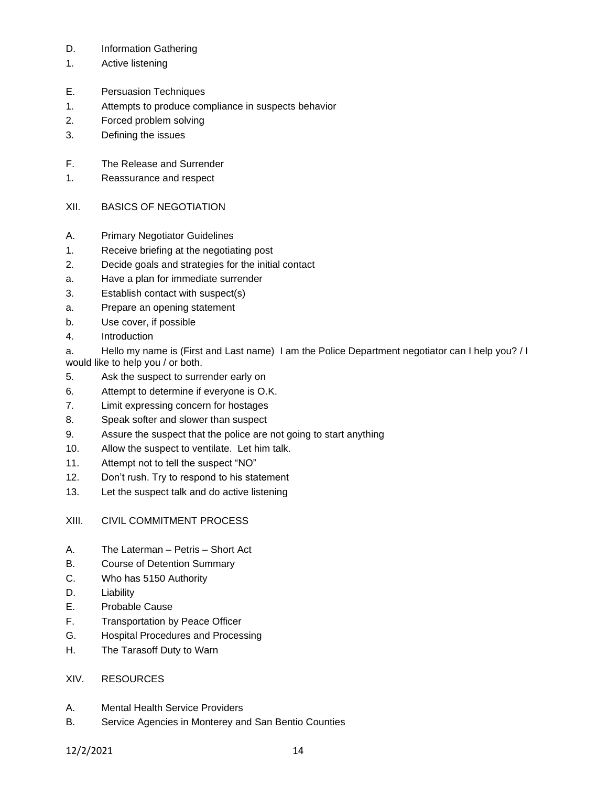- D. Information Gathering
- 1. Active listening
- E. Persuasion Techniques
- 1. Attempts to produce compliance in suspects behavior
- 2. Forced problem solving
- 3. Defining the issues
- F. The Release and Surrender
- 1. Reassurance and respect
- XII. BASICS OF NEGOTIATION
- A. Primary Negotiator Guidelines
- 1. Receive briefing at the negotiating post
- 2. Decide goals and strategies for the initial contact
- a. Have a plan for immediate surrender
- 3. Establish contact with suspect(s)
- a. Prepare an opening statement
- b. Use cover, if possible
- 4. Introduction

a. Hello my name is (First and Last name) I am the Police Department negotiator can I help you? / I would like to help you / or both.

- 5. Ask the suspect to surrender early on
- 6. Attempt to determine if everyone is O.K.
- 7. Limit expressing concern for hostages
- 8. Speak softer and slower than suspect
- 9. Assure the suspect that the police are not going to start anything
- 10. Allow the suspect to ventilate. Let him talk.
- 11. Attempt not to tell the suspect "NO"
- 12. Don't rush. Try to respond to his statement
- 13. Let the suspect talk and do active listening

# XIII. CIVIL COMMITMENT PROCESS

- A. The Laterman Petris Short Act
- B. Course of Detention Summary
- C. Who has 5150 Authority
- D. Liability
- E. Probable Cause
- F. Transportation by Peace Officer
- G. Hospital Procedures and Processing
- H. The Tarasoff Duty to Warn

# XIV. RESOURCES

- A. Mental Health Service Providers
- B. Service Agencies in Monterey and San Bentio Counties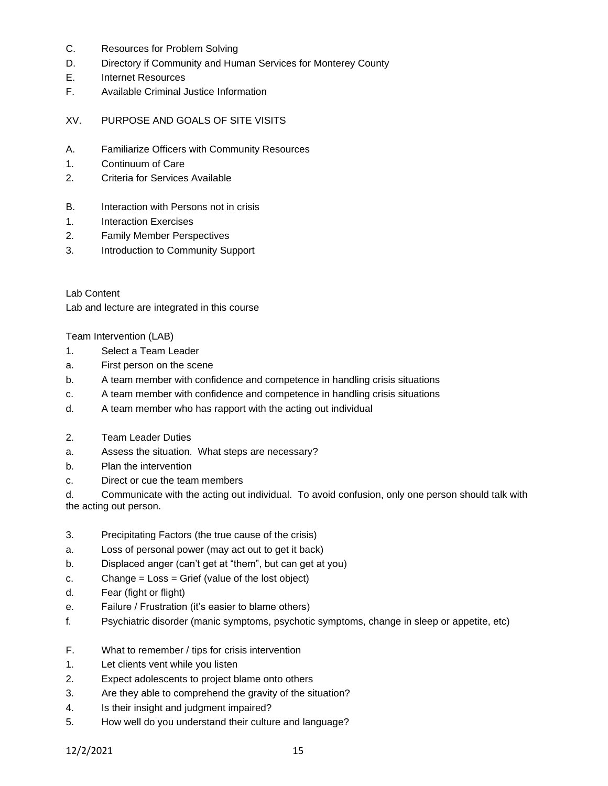- C. Resources for Problem Solving
- D. Directory if Community and Human Services for Monterey County
- E. Internet Resources
- F. Available Criminal Justice Information
- XV. PURPOSE AND GOALS OF SITE VISITS
- A. Familiarize Officers with Community Resources
- 1. Continuum of Care
- 2. Criteria for Services Available
- B. Interaction with Persons not in crisis
- 1. Interaction Exercises
- 2. Family Member Perspectives
- 3. Introduction to Community Support

Lab Content Lab and lecture are integrated in this course

Team Intervention (LAB)

- 1. Select a Team Leader
- a. First person on the scene
- b. A team member with confidence and competence in handling crisis situations
- c. A team member with confidence and competence in handling crisis situations
- d. A team member who has rapport with the acting out individual
- 2. Team Leader Duties
- a. Assess the situation. What steps are necessary?
- b. Plan the intervention
- c. Direct or cue the team members

d. Communicate with the acting out individual. To avoid confusion, only one person should talk with the acting out person.

- 3. Precipitating Factors (the true cause of the crisis)
- a. Loss of personal power (may act out to get it back)
- b. Displaced anger (can't get at "them", but can get at you)
- c. Change = Loss = Grief (value of the lost object)
- d. Fear (fight or flight)
- e. Failure / Frustration (it's easier to blame others)
- f. Psychiatric disorder (manic symptoms, psychotic symptoms, change in sleep or appetite, etc)
- F. What to remember / tips for crisis intervention
- 1. Let clients vent while you listen
- 2. Expect adolescents to project blame onto others
- 3. Are they able to comprehend the gravity of the situation?
- 4. Is their insight and judgment impaired?
- 5. How well do you understand their culture and language?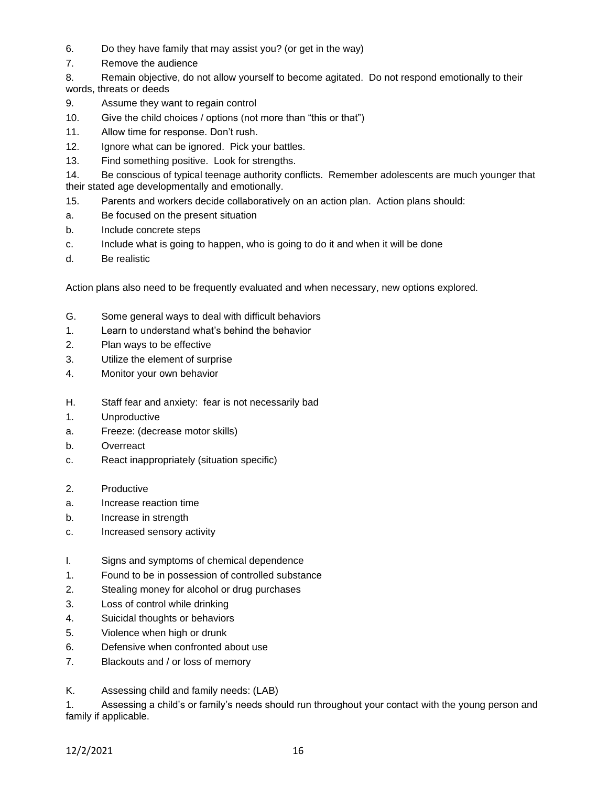- 6. Do they have family that may assist you? (or get in the way)
- 7. Remove the audience

8. Remain objective, do not allow yourself to become agitated. Do not respond emotionally to their words, threats or deeds

- 9. Assume they want to regain control
- 10. Give the child choices / options (not more than "this or that")
- 11. Allow time for response. Don't rush.
- 12. Ignore what can be ignored. Pick your battles.
- 13. Find something positive. Look for strengths.

14. Be conscious of typical teenage authority conflicts. Remember adolescents are much younger that their stated age developmentally and emotionally.

- 15. Parents and workers decide collaboratively on an action plan. Action plans should:
- a. Be focused on the present situation
- b. Include concrete steps
- c. Include what is going to happen, who is going to do it and when it will be done
- d. Be realistic

Action plans also need to be frequently evaluated and when necessary, new options explored.

- G. Some general ways to deal with difficult behaviors
- 1. Learn to understand what's behind the behavior
- 2. Plan ways to be effective
- 3. Utilize the element of surprise
- 4. Monitor your own behavior
- H. Staff fear and anxiety: fear is not necessarily bad
- 1. Unproductive
- a. Freeze: (decrease motor skills)
- b. Overreact
- c. React inappropriately (situation specific)
- 2. Productive
- a. Increase reaction time
- b. Increase in strength
- c. Increased sensory activity
- I. Signs and symptoms of chemical dependence
- 1. Found to be in possession of controlled substance
- 2. Stealing money for alcohol or drug purchases
- 3. Loss of control while drinking
- 4. Suicidal thoughts or behaviors
- 5. Violence when high or drunk
- 6. Defensive when confronted about use
- 7. Blackouts and / or loss of memory
- K. Assessing child and family needs: (LAB)

1. Assessing a child's or family's needs should run throughout your contact with the young person and family if applicable.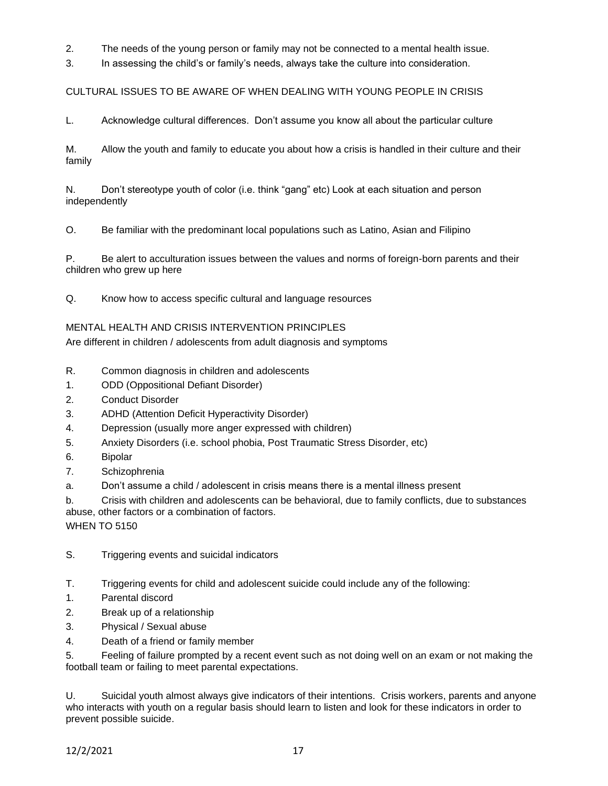2. The needs of the young person or family may not be connected to a mental health issue.

3. In assessing the child's or family's needs, always take the culture into consideration.

CULTURAL ISSUES TO BE AWARE OF WHEN DEALING WITH YOUNG PEOPLE IN CRISIS

L. Acknowledge cultural differences. Don't assume you know all about the particular culture

M. Allow the youth and family to educate you about how a crisis is handled in their culture and their family

N. Don't stereotype youth of color (i.e. think "gang" etc) Look at each situation and person independently

O. Be familiar with the predominant local populations such as Latino, Asian and Filipino

P. Be alert to acculturation issues between the values and norms of foreign-born parents and their children who grew up here

Q. Know how to access specific cultural and language resources

## MENTAL HEALTH AND CRISIS INTERVENTION PRINCIPLES

Are different in children / adolescents from adult diagnosis and symptoms

- R. Common diagnosis in children and adolescents
- 1. ODD (Oppositional Defiant Disorder)
- 2. Conduct Disorder
- 3. ADHD (Attention Deficit Hyperactivity Disorder)
- 4. Depression (usually more anger expressed with children)
- 5. Anxiety Disorders (i.e. school phobia, Post Traumatic Stress Disorder, etc)
- 6. Bipolar
- 7. Schizophrenia

a. Don't assume a child / adolescent in crisis means there is a mental illness present

b. Crisis with children and adolescents can be behavioral, due to family conflicts, due to substances abuse, other factors or a combination of factors.

**WHEN TO 5150** 

- S. Triggering events and suicidal indicators
- T. Triggering events for child and adolescent suicide could include any of the following:
- 1. Parental discord
- 2. Break up of a relationship
- 3. Physical / Sexual abuse
- 4. Death of a friend or family member

5. Feeling of failure prompted by a recent event such as not doing well on an exam or not making the football team or failing to meet parental expectations.

U. Suicidal youth almost always give indicators of their intentions. Crisis workers, parents and anyone who interacts with youth on a regular basis should learn to listen and look for these indicators in order to prevent possible suicide.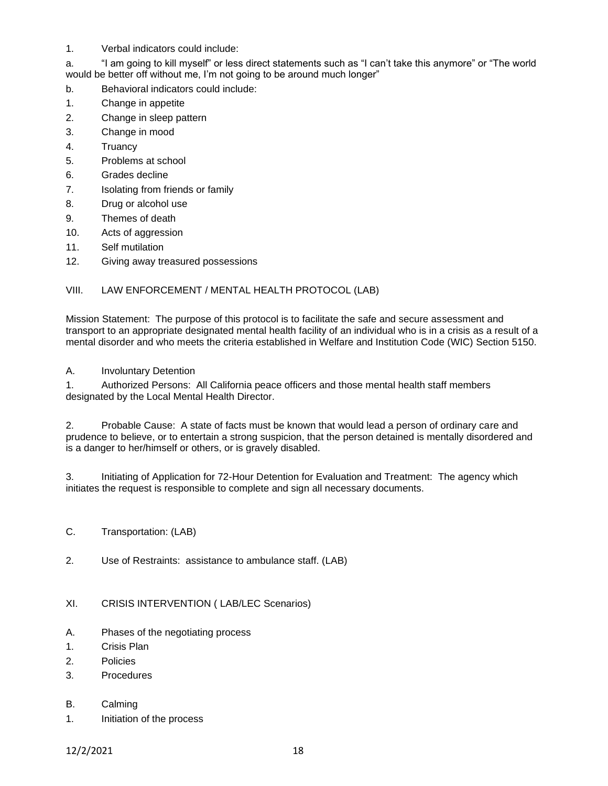1. Verbal indicators could include:

a. "I am going to kill myself" or less direct statements such as "I can't take this anymore" or "The world would be better off without me, I'm not going to be around much longer"

- b. Behavioral indicators could include:
- 1. Change in appetite
- 2. Change in sleep pattern
- 3. Change in mood
- 4. Truancy
- 5. Problems at school
- 6. Grades decline
- 7. Isolating from friends or family
- 8. Drug or alcohol use
- 9. Themes of death
- 10. Acts of aggression
- 11. Self mutilation
- 12. Giving away treasured possessions

### VIII. LAW ENFORCEMENT / MENTAL HEALTH PROTOCOL (LAB)

Mission Statement: The purpose of this protocol is to facilitate the safe and secure assessment and transport to an appropriate designated mental health facility of an individual who is in a crisis as a result of a mental disorder and who meets the criteria established in Welfare and Institution Code (WIC) Section 5150.

### A. Involuntary Detention

1. Authorized Persons: All California peace officers and those mental health staff members designated by the Local Mental Health Director.

2. Probable Cause: A state of facts must be known that would lead a person of ordinary care and prudence to believe, or to entertain a strong suspicion, that the person detained is mentally disordered and is a danger to her/himself or others, or is gravely disabled.

3. Initiating of Application for 72-Hour Detention for Evaluation and Treatment: The agency which initiates the request is responsible to complete and sign all necessary documents.

- C. Transportation: (LAB)
- 2. Use of Restraints: assistance to ambulance staff. (LAB)
- XI. CRISIS INTERVENTION ( LAB/LEC Scenarios)
- A. Phases of the negotiating process
- 1. Crisis Plan
- 2. Policies
- 3. Procedures
- B. Calming
- 1. Initiation of the process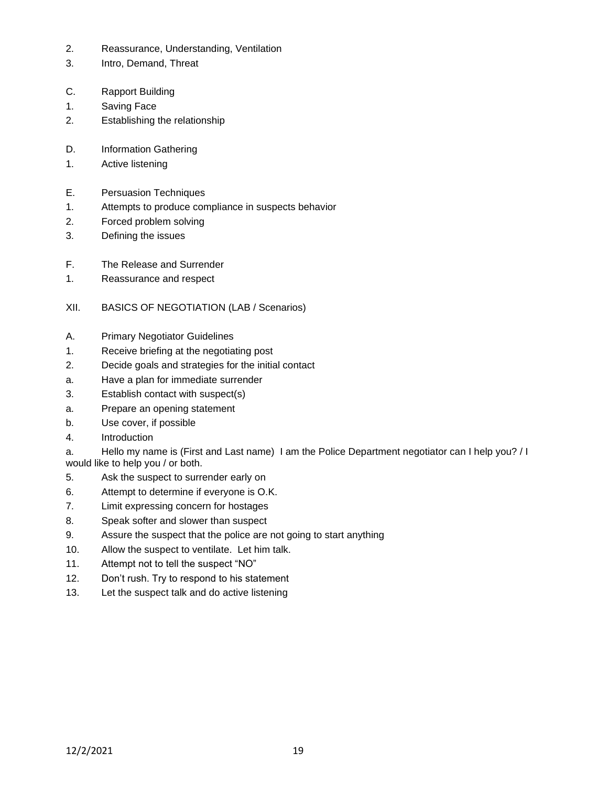- 2. Reassurance, Understanding, Ventilation
- 3. Intro, Demand, Threat
- C. Rapport Building
- 1. Saving Face
- 2. Establishing the relationship
- D. Information Gathering
- 1. Active listening
- E. Persuasion Techniques
- 1. Attempts to produce compliance in suspects behavior
- 2. Forced problem solving
- 3. Defining the issues
- F. The Release and Surrender
- 1. Reassurance and respect
- XII. BASICS OF NEGOTIATION (LAB / Scenarios)
- A. Primary Negotiator Guidelines
- 1. Receive briefing at the negotiating post
- 2. Decide goals and strategies for the initial contact
- a. Have a plan for immediate surrender
- 3. Establish contact with suspect(s)
- a. Prepare an opening statement
- b. Use cover, if possible
- 4. Introduction

a. Hello my name is (First and Last name) I am the Police Department negotiator can I help you? / I would like to help you / or both.

- 5. Ask the suspect to surrender early on
- 6. Attempt to determine if everyone is O.K.
- 7. Limit expressing concern for hostages
- 8. Speak softer and slower than suspect
- 9. Assure the suspect that the police are not going to start anything
- 10. Allow the suspect to ventilate. Let him talk.
- 11. Attempt not to tell the suspect "NO"
- 12. Don't rush. Try to respond to his statement
- 13. Let the suspect talk and do active listening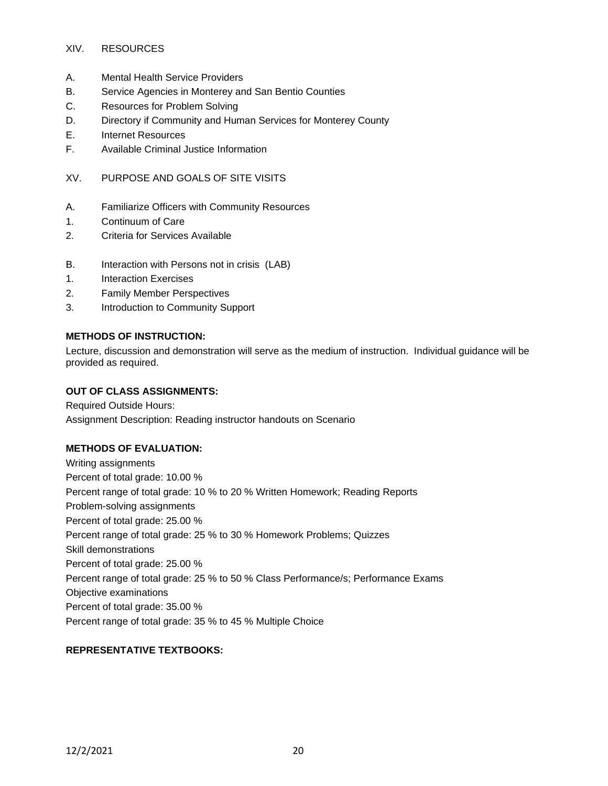### XIV. RESOURCES

- A. Mental Health Service Providers
- B. Service Agencies in Monterey and San Bentio Counties
- C. Resources for Problem Solving
- D. Directory if Community and Human Services for Monterey County
- E. Internet Resources
- F. Available Criminal Justice Information

## XV. PURPOSE AND GOALS OF SITE VISITS

- A. Familiarize Officers with Community Resources
- 1. Continuum of Care
- 2. Criteria for Services Available
- B. Interaction with Persons not in crisis (LAB)
- 1. Interaction Exercises
- 2. Family Member Perspectives
- 3. Introduction to Community Support

### **METHODS OF INSTRUCTION:**

Lecture, discussion and demonstration will serve as the medium of instruction. Individual guidance will be provided as required.

### **OUT OF CLASS ASSIGNMENTS:**

Required Outside Hours: Assignment Description: Reading instructor handouts on Scenario

### **METHODS OF EVALUATION:**

Writing assignments Percent of total grade: 10.00 % Percent range of total grade: 10 % to 20 % Written Homework; Reading Reports Problem-solving assignments Percent of total grade: 25.00 % Percent range of total grade: 25 % to 30 % Homework Problems; Quizzes Skill demonstrations Percent of total grade: 25.00 % Percent range of total grade: 25 % to 50 % Class Performance/s; Performance Exams Objective examinations Percent of total grade: 35.00 % Percent range of total grade: 35 % to 45 % Multiple Choice

## **REPRESENTATIVE TEXTBOOKS:**